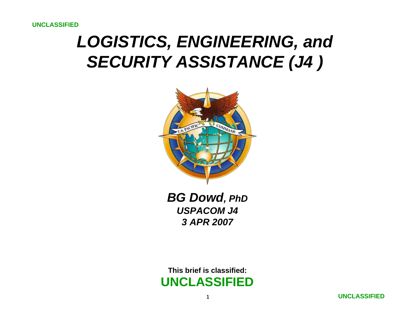## *LOGISTICS, ENGINEERING, and SECURITY ASSISTANCE (J4 )*



*BG Dowd, PhD USPACOM J43 APR 2007*

**This brief is classified:UNCLASSIFIED**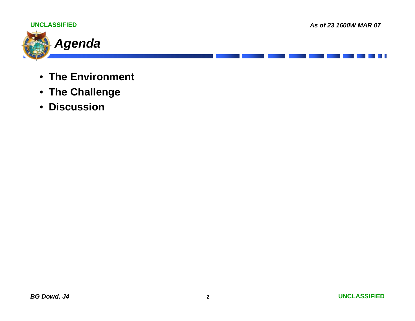

- **The Environment**
- **The Challenge**
- $\bullet$ **Discussion**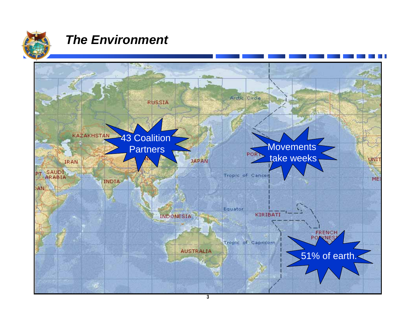

## *The Environment*

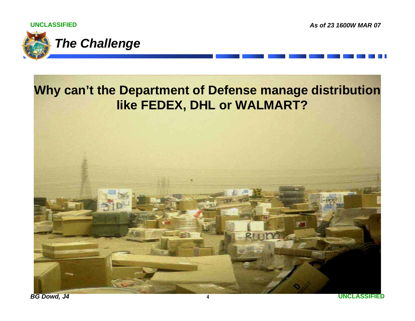**UNCLASSIFIED**

*As of 23 1600W MAR 07*



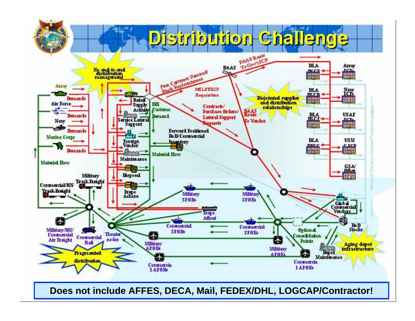

**5Does not include AFFES, DECA, Mail, FEDEX/DHL, LOGCAP/Contractor!**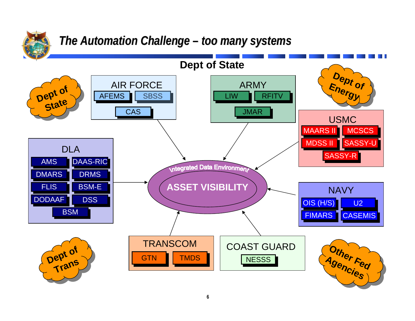

## *The Automation Challenge – too many systems*